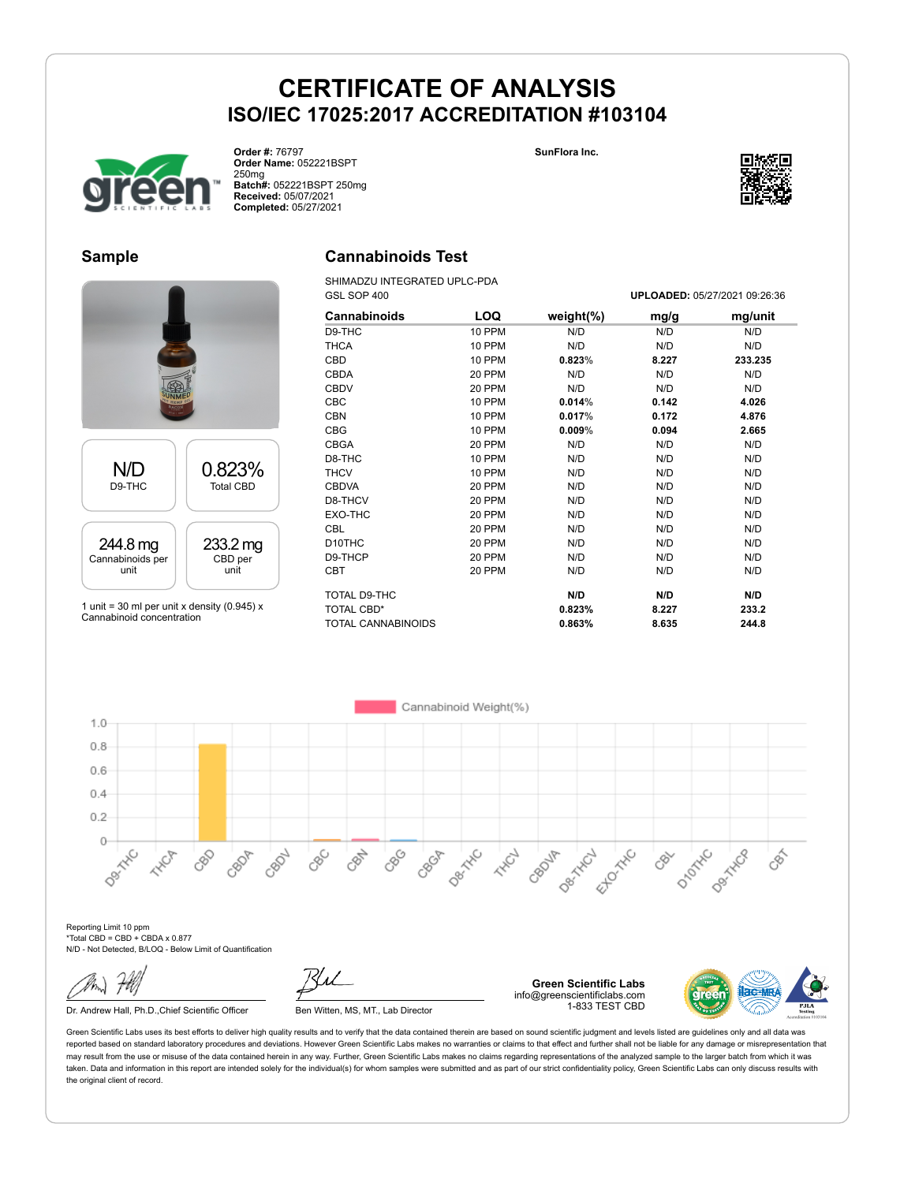**SunFlora Inc.**



**Order #:** 76797 **Order Name:** 052221BSPT 250mg **Batch#:** 052221BSPT 250mg **Received:** 05/07/2021 **Completed:** 05/27/2021

#### **Sample**

# N/D D9-THC 0.823% Total CBD 244.8 mg Cannabinoids per unit 233.2 mg CBD per unit

1 unit = 30 ml per unit x density (0.945)  $x$ Cannabinoid concentration



### **Cannabinoids Test**

SHIMADZU INTEGRATED UPLC-PDA GSL SOP 400 **UPLOADED:** 05/27/2021 09:26:36

| Cannabinoids              | LOQ           | weight $(\%)$ | mg/g  | mg/unit |
|---------------------------|---------------|---------------|-------|---------|
| D9-THC                    | <b>10 PPM</b> | N/D           | N/D   | N/D     |
| <b>THCA</b>               | <b>10 PPM</b> | N/D           | N/D   | N/D     |
| <b>CBD</b>                | <b>10 PPM</b> | 0.823%        | 8.227 | 233.235 |
| <b>CBDA</b>               | 20 PPM        | N/D           | N/D   | N/D     |
| <b>CBDV</b>               | 20 PPM        | N/D           | N/D   | N/D     |
| <b>CBC</b>                | 10 PPM        | 0.014%        | 0.142 | 4.026   |
| <b>CBN</b>                | 10 PPM        | 0.017%        | 0.172 | 4.876   |
| <b>CBG</b>                | 10 PPM        | $0.009\%$     | 0.094 | 2.665   |
| <b>CBGA</b>               | 20 PPM        | N/D           | N/D   | N/D     |
| D8-THC                    | <b>10 PPM</b> | N/D           | N/D   | N/D     |
| <b>THCV</b>               | 10 PPM        | N/D           | N/D   | N/D     |
| <b>CBDVA</b>              | 20 PPM        | N/D           | N/D   | N/D     |
| D8-THCV                   | 20 PPM        | N/D           | N/D   | N/D     |
| EXO-THC                   | 20 PPM        | N/D           | N/D   | N/D     |
| <b>CBL</b>                | 20 PPM        | N/D           | N/D   | N/D     |
| D <sub>10</sub> THC       | 20 PPM        | N/D           | N/D   | N/D     |
| D9-THCP                   | 20 PPM        | N/D           | N/D   | N/D     |
| <b>CBT</b>                | 20 PPM        | N/D           | N/D   | N/D     |
| TOTAL D9-THC              |               | N/D           | N/D   | N/D     |
| <b>TOTAL CBD*</b>         |               | 0.823%        | 8.227 | 233.2   |
| <b>TOTAL CANNABINOIDS</b> |               | 0.863%        | 8.635 | 244.8   |

Cannabinoid Weight(%)  $1.0$  $0.8$  $0.6$  $0.4$  $0.2$ Desired  $\circ$ Desired Desired **Desiminal** CBN 880 Ellowing D<sub>DDDAX</sub>C CBOA CRO2L CBC<sub>D</sub> CBOF CBOJA **HAVE** 88 **HARCH** CRY EEE

Reporting Limit 10 ppm \*Total CBD = CBD + CBDA x 0.877 N/D - Not Detected, B/LOQ - Below Limit of Quantification

Dr. Andrew Hall, Ph.D., Chief Scientific Officer Ben Witten, MS, MT., Lab Director



**Green Scientific Labs** info@greenscientificlabs.com 1-833 TEST CBD



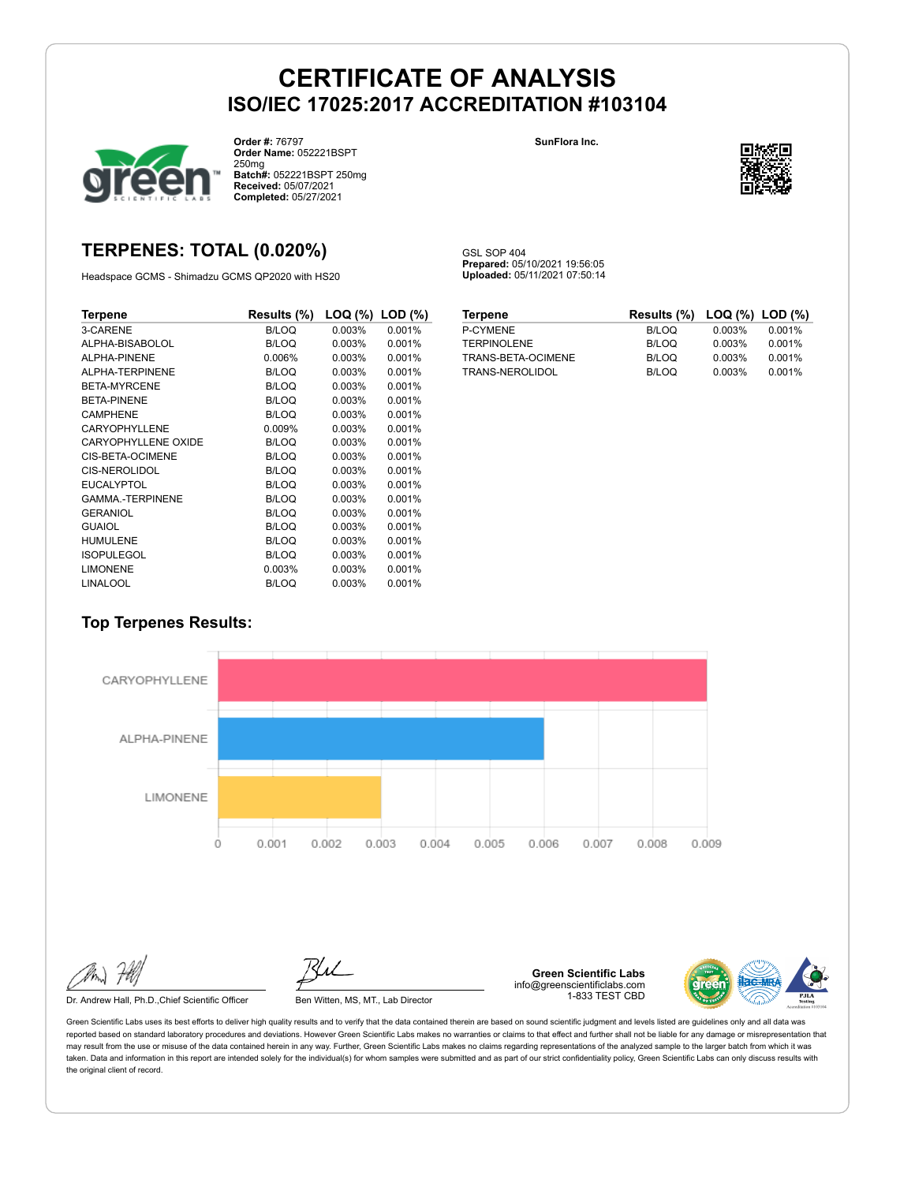GSL SOP 404

**Prepared:** 05/10/2021 19:56:05 **Uploaded:** 05/11/2021 07:50:14



**Order #:** 76797 **Order Name:** 052221BSPT 250mg **Batch#:** 052221BSPT 250mg **Received:** 05/07/2021 **Completed:** 05/27/2021

#### **SunFlora Inc.**



### **TERPENES: TOTAL (0.020%)**

Headspace GCMS - Shimadzu GCMS QP2020 with HS20

| Terpene                | Results (%)  | LOQ (%) | $LOD$ $(\%)$ |
|------------------------|--------------|---------|--------------|
| 3-CARENE               | <b>B/LOQ</b> | 0.003%  | 0.001%       |
| ALPHA-BISABOLOL        | B/LOQ        | 0.003%  | 0.001%       |
| ALPHA-PINENE           | 0.006%       | 0.003%  | 0.001%       |
| ALPHA-TERPINENE        | <b>B/LOQ</b> | 0.003%  | 0.001%       |
| BETA-MYRCENE           | B/LOQ        | 0.003%  | 0.001%       |
| <b>BETA-PINENE</b>     | B/LOQ        | 0.003%  | 0.001%       |
| <b>CAMPHENE</b>        | <b>B/LOQ</b> | 0.003%  | 0.001%       |
| CARYOPHYLLENE          | 0.009%       | 0.003%  | 0.001%       |
| CARYOPHYLLENE OXIDE    | <b>B/LOQ</b> | 0.003%  | 0.001%       |
| CIS-BETA-OCIMENE       | B/LOQ        | 0.003%  | 0.001%       |
| CIS-NEROLIDOL          | B/LOQ        | 0.003%  | 0.001%       |
| <b>EUCALYPTOL</b>      | B/LOQ        | 0.003%  | 0.001%       |
| <b>GAMMA-TERPINENE</b> | B/LOQ        | 0.003%  | 0.001%       |
| <b>GERANIOL</b>        | <b>B/LOQ</b> | 0.003%  | 0.001%       |
| <b>GUAIOL</b>          | B/LOQ        | 0.003%  | 0.001%       |
| <b>HUMULENE</b>        | B/LOQ        | 0.003%  | 0.001%       |
| <b>ISOPULEGOL</b>      | B/LOQ        | 0.003%  | 0.001%       |
| <b>LIMONENE</b>        | 0.003%       | 0.003%  | 0.001%       |
| <b>LINALOOL</b>        | B/LOQ        | 0.003%  | 0.001%       |

| <b>Terpene</b>     | Results $(\%)$ LOQ $(\%)$ LOD $(\%)$ |        |        |
|--------------------|--------------------------------------|--------|--------|
| P-CYMENE           | <b>B/LOQ</b>                         | 0.003% | 0.001% |
| <b>TERPINOLENE</b> | B/LOQ                                | 0.003% | 0.001% |
| TRANS-BETA-OCIMENE | B/LOQ                                | 0.003% | 0.001% |
| TRANS-NEROLIDOL    | <b>B/LOQ</b>                         | 0.003% | 0.001% |

### **Top Terpenes Results:**



Dr. Andrew Hall, Ph.D., Chief Scientific Officer Ben Witten, MS, MT., Lab Director

**Green Scientific Labs** info@greenscientificlabs.com 1-833 TEST CBD

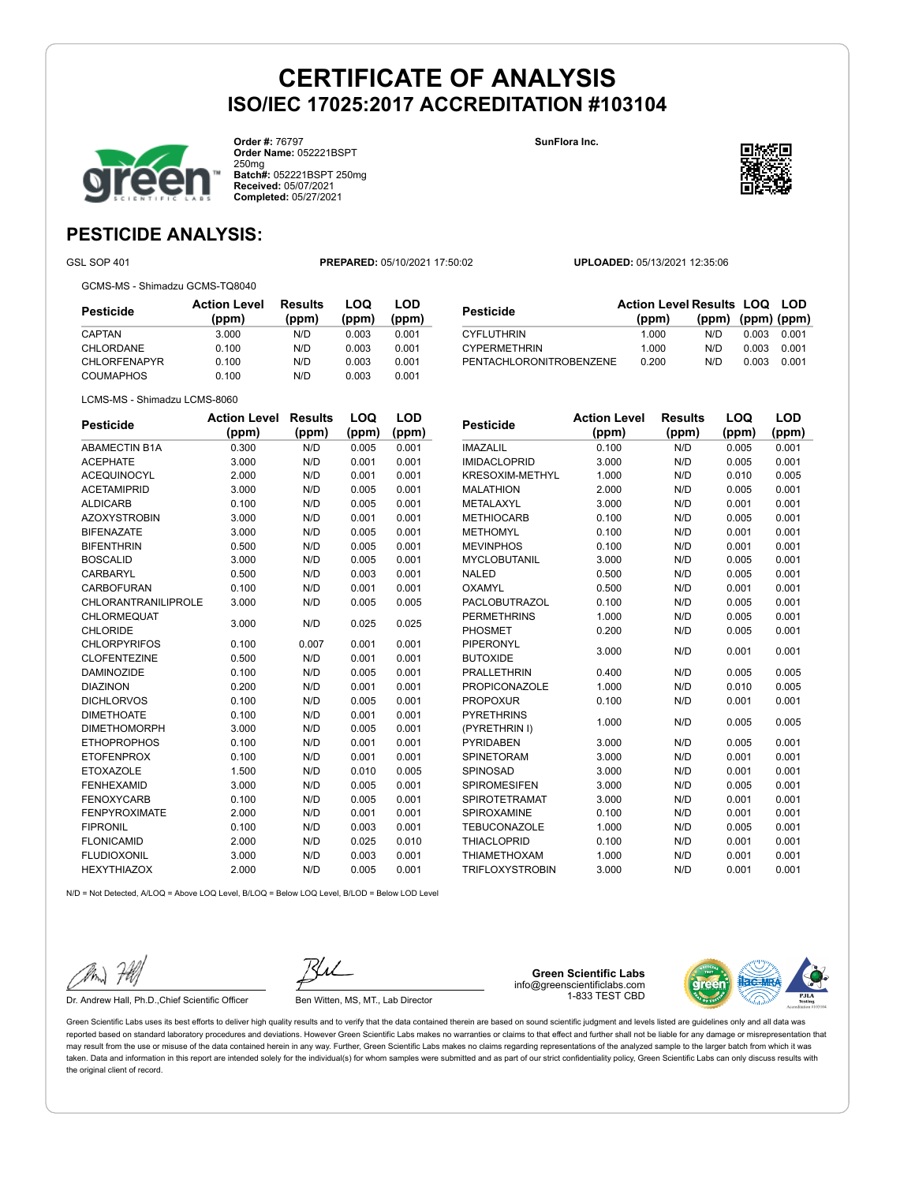

**Order #:** 76797 **Order Name:** 052221BSPT 250mg **Batch#:** 052221BSPT 250mg **Received:** 05/07/2021 **Completed:** 05/27/2021

**SunFlora Inc.**



### **PESTICIDE ANALYSIS:**

GSL SOP 401 **PREPARED:** 05/10/2021 17:50:02 **UPLOADED:** 05/13/2021 12:35:06

GCMS-MS - Shimadzu GCMS-TQ8040

**Pesticide Action Level (ppm) Results (ppm) LOQ (ppm) LOD (ppm)** CAPTAN 3.000 N/D 0.003 0.001 CHLORDANE 0.100 N/D 0.003 0.001 CHLORFENAPYR 0.100 N/D 0.003 0.001 COUMAPHOS 0.100 N/D 0.003 0.001

| Pesticide               | <b>Action Level Results LOQ LOD</b><br>(ppm) | $(ppm)$ $(ppm)$ $(ppm)$ |       |       |
|-------------------------|----------------------------------------------|-------------------------|-------|-------|
| <b>CYFLUTHRIN</b>       | 1.000                                        | N/D.                    | 0.003 | 0.001 |
| <b>CYPERMETHRIN</b>     | 1.000                                        | N/D                     | 0.003 | 0.001 |
| PENTACHLORONITROBENZENE | 0.200                                        | N/D                     | 0.003 | 0.001 |

|  | LCMS-MS - Shimadzu LCMS-8060 |
|--|------------------------------|
|  |                              |

| <b>Pesticide</b>           | <b>Action Level</b> | <b>Results</b> | LOQ   | <b>LOD</b> |
|----------------------------|---------------------|----------------|-------|------------|
|                            | (ppm)               | (ppm)          | (ppm) | (ppm)      |
| <b>ABAMECTIN B1A</b>       | 0.300               | N/D            | 0.005 | 0.001      |
| <b>ACEPHATE</b>            | 3.000               | N/D            | 0.001 | 0.001      |
| <b>ACEQUINOCYL</b>         | 2.000               | N/D            | 0.001 | 0.001      |
| <b>ACETAMIPRID</b>         | 3.000               | N/D            | 0.005 | 0.001      |
| <b>ALDICARB</b>            | 0.100               | N/D            | 0.005 | 0.001      |
| <b>AZOXYSTROBIN</b>        | 3.000               | N/D            | 0.001 | 0.001      |
| <b>BIFENAZATE</b>          | 3.000               | N/D            | 0.005 | 0.001      |
| <b>BIFENTHRIN</b>          | 0.500               | N/D            | 0.005 | 0.001      |
| <b>BOSCALID</b>            | 3.000               | N/D            | 0.005 | 0.001      |
| CARBARYL                   | 0.500               | N/D            | 0.003 | 0.001      |
| <b>CARBOFURAN</b>          | 0.100               | N/D            | 0.001 | 0.001      |
| <b>CHLORANTRANILIPROLE</b> | 3.000               | N/D            | 0.005 | 0.005      |
| CHLORMEQUAT                | 3.000               | N/D            | 0.025 | 0.025      |
| <b>CHLORIDE</b>            |                     |                |       |            |
| <b>CHLORPYRIFOS</b>        | 0.100               | 0.007          | 0.001 | 0.001      |
| <b>CLOFENTEZINE</b>        | 0.500               | N/D            | 0.001 | 0.001      |
| <b>DAMINOZIDE</b>          | 0.100               | N/D            | 0.005 | 0.001      |
| <b>DIAZINON</b>            | 0.200               | N/D            | 0.001 | 0.001      |
| <b>DICHLORVOS</b>          | 0.100               | N/D            | 0.005 | 0.001      |
| <b>DIMETHOATE</b>          | 0.100               | N/D            | 0.001 | 0.001      |
| <b>DIMETHOMORPH</b>        | 3.000               | N/D            | 0.005 | 0.001      |
| <b>ETHOPROPHOS</b>         | 0.100               | N/D            | 0.001 | 0.001      |
| <b>ETOFENPROX</b>          | 0.100               | N/D            | 0.001 | 0.001      |
| <b>ETOXAZOLE</b>           | 1.500               | N/D            | 0.010 | 0.005      |
| <b>FENHEXAMID</b>          | 3.000               | N/D            | 0.005 | 0.001      |
| <b>FENOXYCARB</b>          | 0.100               | N/D            | 0.005 | 0.001      |
| <b>FENPYROXIMATE</b>       | 2.000               | N/D            | 0.001 | 0.001      |
| <b>FIPRONIL</b>            | 0.100               | N/D            | 0.003 | 0.001      |
| <b>FLONICAMID</b>          | 2.000               | N/D            | 0.025 | 0.010      |
| <b>FLUDIOXONIL</b>         | 3.000               | N/D            | 0.003 | 0.001      |
| <b>HEXYTHIAZOX</b>         | 2.000               | N/D            | 0.005 | 0.001      |

| <b>Pesticide</b>       | <b>Action Level</b> | <b>Results</b> | LOQ   | LOD   |
|------------------------|---------------------|----------------|-------|-------|
|                        | (ppm)               | (ppm)          | (ppm) | (ppm) |
| <b>IMAZALIL</b>        | 0.100               | N/D            | 0.005 | 0.001 |
| <b>IMIDACLOPRID</b>    | 3.000               | N/D            | 0.005 | 0.001 |
| <b>KRESOXIM-METHYL</b> | 1.000               | N/D            | 0.010 | 0.005 |
| <b>MALATHION</b>       | 2.000               | N/D            | 0.005 | 0.001 |
| METALAXYL              | 3.000               | N/D            | 0.001 | 0.001 |
| <b>METHIOCARB</b>      | 0.100               | N/D            | 0.005 | 0.001 |
| <b>METHOMYL</b>        | 0.100               | N/D            | 0.001 | 0.001 |
| <b>MEVINPHOS</b>       | 0.100               | N/D            | 0.001 | 0.001 |
| <b>MYCLOBUTANIL</b>    | 3.000               | N/D            | 0.005 | 0.001 |
| <b>NALED</b>           | 0.500               | N/D            | 0.005 | 0.001 |
| OXAMYL                 | 0.500               | N/D            | 0.001 | 0.001 |
| <b>PACLOBUTRAZOL</b>   | 0.100               | N/D            | 0.005 | 0.001 |
| <b>PERMETHRINS</b>     | 1.000               | N/D            | 0.005 | 0.001 |
| <b>PHOSMET</b>         | 0.200               | N/D            | 0.005 | 0.001 |
| <b>PIPERONYL</b>       |                     |                |       |       |
| <b>BUTOXIDE</b>        | 3.000               | N/D            | 0.001 | 0.001 |
| <b>PRALLETHRIN</b>     | 0.400               | N/D            | 0.005 | 0.005 |
| <b>PROPICONAZOLE</b>   | 1.000               | N/D            | 0.010 | 0.005 |
| <b>PROPOXUR</b>        | 0.100               | N/D            | 0.001 | 0.001 |
| <b>PYRETHRINS</b>      |                     |                |       |       |
| (PYRETHRIN I)          | 1.000               | N/D            | 0.005 | 0.005 |
| <b>PYRIDABEN</b>       | 3.000               | N/D            | 0.005 | 0.001 |
| <b>SPINETORAM</b>      | 3.000               | N/D            | 0.001 | 0.001 |
| <b>SPINOSAD</b>        | 3.000               | N/D            | 0.001 | 0.001 |
| <b>SPIROMESIFEN</b>    | 3.000               | N/D            | 0.005 | 0.001 |
| <b>SPIROTETRAMAT</b>   | 3.000               | N/D            | 0.001 | 0.001 |
| <b>SPIROXAMINE</b>     | 0.100               | N/D            | 0.001 | 0.001 |
| <b>TEBUCONAZOLE</b>    | 1.000               | N/D            | 0.005 | 0.001 |

THIACLOPRID 0.100 N/D 0.001 0.001 THIAMETHOXAM 1.000 N/D 0.001 0.001 TRIFLOXYSTROBIN 3.000 N/D 0.001 0.001

N/D = Not Detected, A/LOQ = Above LOQ Level, B/LOQ = Below LOQ Level, B/LOD = Below LOD Level



Dr. Andrew Hall, Ph.D., Chief Scientific Officer Ben Witten, MS, MT., Lab Director

**Green Scientific Labs** info@greenscientificlabs.com 1-833 TEST CBD

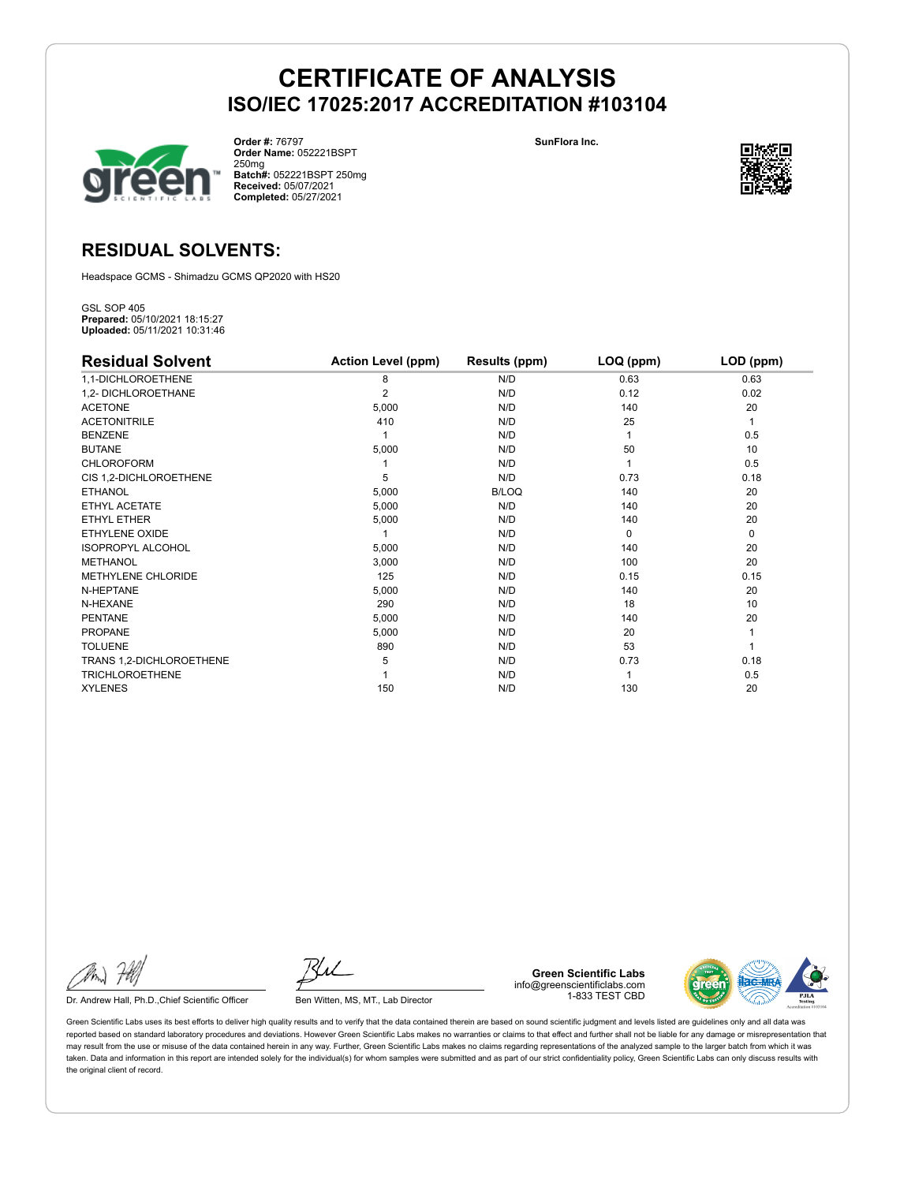

**Order #:** 76797 **Order Name:** 052221BSPT 250mg **Batch#:** 052221BSPT 250mg **Received:** 05/07/2021 **Completed:** 05/27/2021

**SunFlora Inc.**



### **RESIDUAL SOLVENTS:**

Headspace GCMS - Shimadzu GCMS QP2020 with HS20

GSL SOP 405 **Prepared:** 05/10/2021 18:15:27 **Uploaded:** 05/11/2021 10:31:46

| <b>Residual Solvent</b>  | <b>Action Level (ppm)</b> | Results (ppm) | LOQ (ppm) | LOD (ppm) |
|--------------------------|---------------------------|---------------|-----------|-----------|
| 1,1-DICHLOROETHENE       | 8                         | N/D           | 0.63      | 0.63      |
| 1,2- DICHLOROETHANE      | 2                         | N/D           | 0.12      | 0.02      |
| <b>ACETONE</b>           | 5,000                     | N/D           | 140       | 20        |
| <b>ACETONITRILE</b>      | 410                       | N/D           | 25        | 1         |
| <b>BENZENE</b>           |                           | N/D           |           | 0.5       |
| <b>BUTANE</b>            | 5,000                     | N/D           | 50        | 10        |
| <b>CHLOROFORM</b>        |                           | N/D           |           | 0.5       |
| CIS 1,2-DICHLOROETHENE   | 5                         | N/D           | 0.73      | 0.18      |
| <b>ETHANOL</b>           | 5,000                     | <b>B/LOQ</b>  | 140       | 20        |
| ETHYL ACETATE            | 5,000                     | N/D           | 140       | 20        |
| ETHYL ETHER              | 5,000                     | N/D           | 140       | 20        |
| ETHYLENE OXIDE           |                           | N/D           | $\Omega$  | 0         |
| <b>ISOPROPYL ALCOHOL</b> | 5,000                     | N/D           | 140       | 20        |
| <b>METHANOL</b>          | 3,000                     | N/D           | 100       | 20        |
| METHYLENE CHLORIDE       | 125                       | N/D           | 0.15      | 0.15      |
| N-HEPTANE                | 5,000                     | N/D           | 140       | 20        |
| N-HEXANE                 | 290                       | N/D           | 18        | 10        |
| <b>PENTANE</b>           | 5,000                     | N/D           | 140       | 20        |
| <b>PROPANE</b>           | 5,000                     | N/D           | 20        |           |
| <b>TOLUENE</b>           | 890                       | N/D           | 53        |           |
| TRANS 1,2-DICHLOROETHENE | 5                         | N/D           | 0.73      | 0.18      |
| <b>TRICHLOROETHENE</b>   |                           | N/D           |           | 0.5       |
| <b>XYLENES</b>           | 150                       | N/D           | 130       | 20        |

Dr. Andrew Hall, Ph.D., Chief Scientific Officer Ben Witten, MS, MT., Lab Director

**Green Scientific Labs** info@greenscientificlabs.com 1-833 TEST CBD

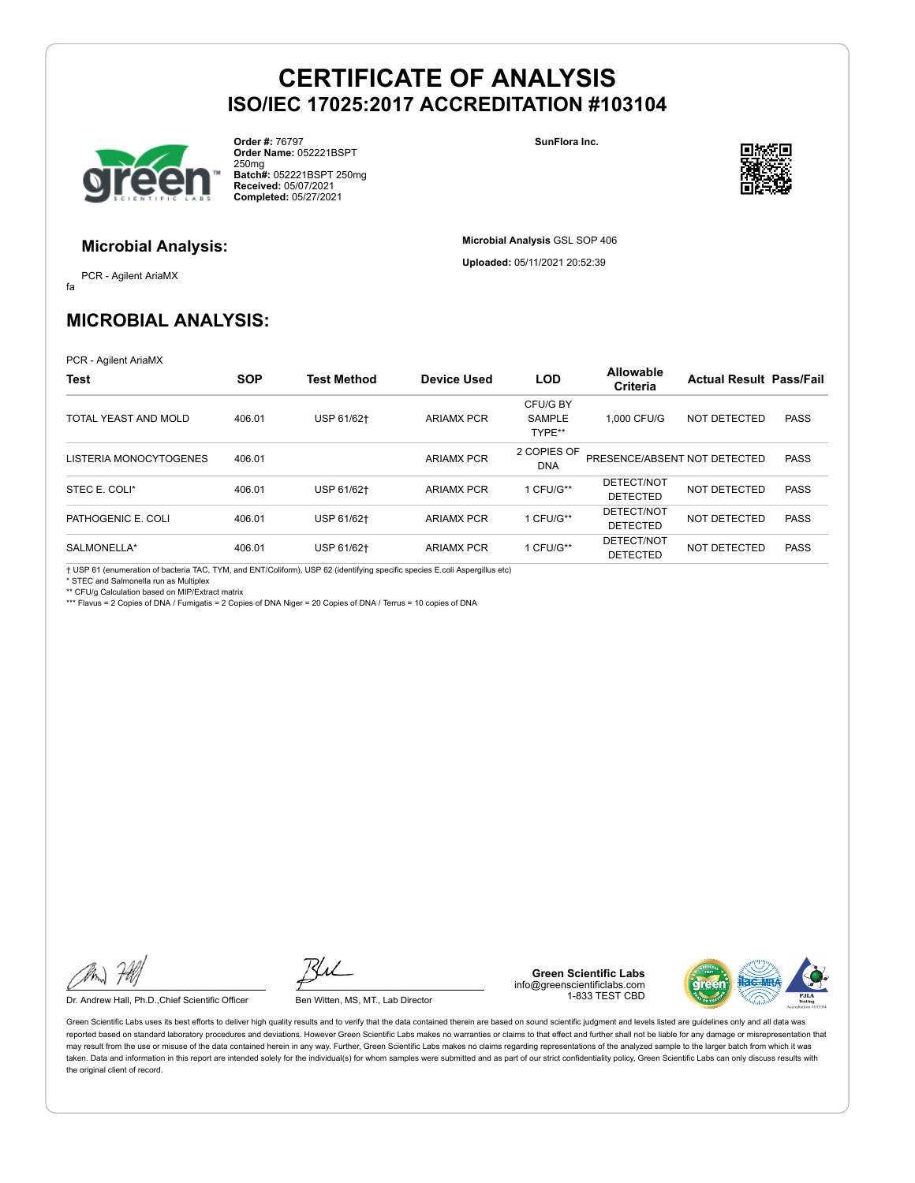

**Order #:** 76797 **Order Name:** 052221BSPT 250mg **Batch#:** 052221BSPT 250mg **Received:** 05/07/2021 **Completed:** 05/27/2021

**SunFlora Inc.**

**Microbial Analysis** GSL SOP 406 **Uploaded:** 05/11/2021 20:52:39



### **Microbial Analysis:**

fa PCR - Agilent AriaMX

### **MICROBIAL ANALYSIS:**

PCR - Agilent AriaMX

| Test                   | <b>SOP</b> | <b>Test Method</b> | <b>Device Used</b> | <b>LOD</b>                          | <b>Allowable</b><br>Criteria  | <b>Actual Result Pass/Fail</b> |             |
|------------------------|------------|--------------------|--------------------|-------------------------------------|-------------------------------|--------------------------------|-------------|
| TOTAL YEAST AND MOLD   | 406.01     | USP 61/62+         | <b>ARIAMX PCR</b>  | CFU/G BY<br><b>SAMPLE</b><br>TYPE** | 1.000 CFU/G                   | NOT DETECTED                   | <b>PASS</b> |
| LISTERIA MONOCYTOGENES | 406.01     |                    | <b>ARIAMX PCR</b>  | 2 COPIES OF<br><b>DNA</b>           | PRESENCE/ABSENT NOT DETECTED  |                                | <b>PASS</b> |
| STEC E. COLI*          | 406.01     | USP 61/62+         | <b>ARIAMX PCR</b>  | 1 CFU/G**                           | DETECT/NOT<br><b>DETECTED</b> | NOT DETECTED                   | <b>PASS</b> |
| PATHOGENIC E. COLI     | 406.01     | USP 61/62+         | <b>ARIAMX PCR</b>  | 1 CFU/G**                           | DETECT/NOT<br><b>DETECTED</b> | NOT DETECTED                   | <b>PASS</b> |
| SALMONELLA*            | 406.01     | USP 61/62+         | <b>ARIAMX PCR</b>  | 1 CFU/G**                           | DETECT/NOT<br><b>DETECTED</b> | NOT DETECTED                   | <b>PASS</b> |

† USP 61 (enumeration of bacteria TAC, TYM, and ENT/Coliform), USP 62 (identifying specific species E.coli Aspergillus etc) \* STEC and Salmonella run as Multiplex

\*\* CFU/g Calculation based on MIP/Extract matrix

\*\*\* Flavus = 2 Copies of DNA / Fumigatis = 2 Copies of DNA Niger = 20 Copies of DNA / Terrus = 10 copies of DNA

Dr. Andrew Hall, Ph.D., Chief Scientific Officer Ben Witten, MS, MT., Lab Director

**Green Scientific Labs** info@greenscientificlabs.com 1-833 TEST CBD